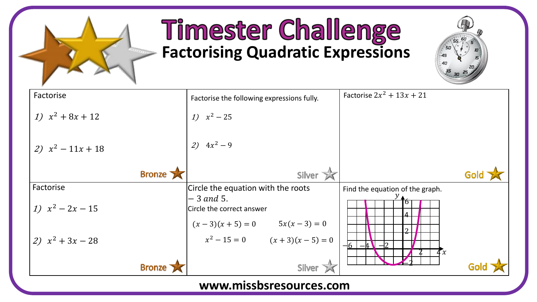

## **Timester Challenge**<br>Factorising Quadratic Expressions



| Factorise           | Factorise the following expressions fully.                                | Factorise $2x^2 + 13x + 21$     |
|---------------------|---------------------------------------------------------------------------|---------------------------------|
| 1) $x^2 + 8x + 12$  | 1) $x^2 - 25$                                                             |                                 |
| 2) $x^2 - 11x + 18$ | 2) $4x^2 - 9$                                                             |                                 |
| Bronze              | Silver X                                                                  | Gold                            |
| Factorise           | Circle the equation with the roots                                        | Find the equation of the graph. |
| 1) $x^2 - 2x - 15$  | – 3 and 5.<br>Circle the correct answer<br>$(x-3)(x+5) = 0$ $5x(x-3) = 0$ |                                 |
| 2) $x^2 + 3x - 28$  | $x^2 - 15 = 0$ $(x + 3)(x - 5) = 0$                                       | $-16$<br>4x                     |
| <b>Bronze</b>       | Silver <sub>X</sub>                                                       |                                 |

## **www.missbsresources.com**